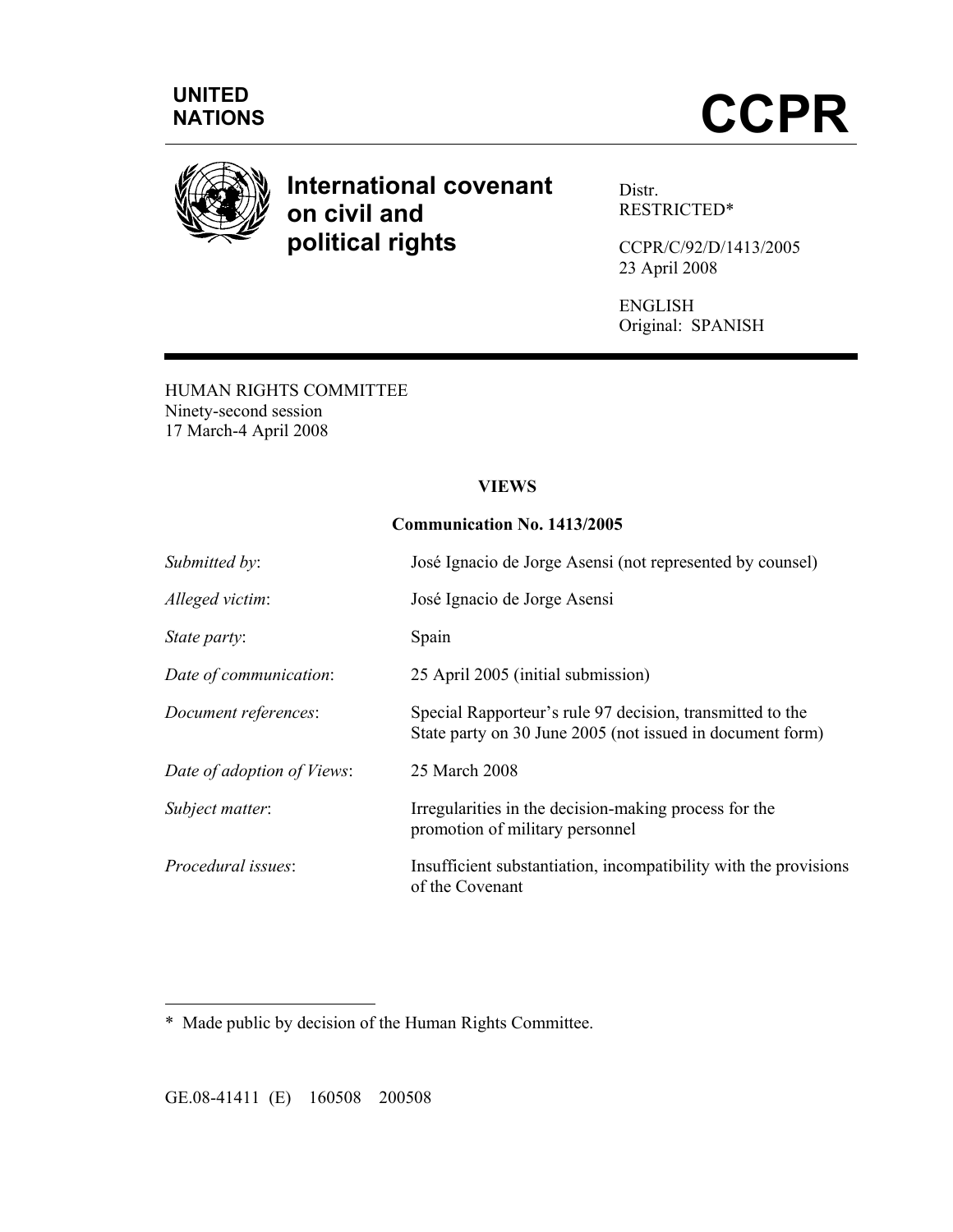

# **International covenant on civil and political rights**

Distr. RESTRICTED\*

CCPR/C/92/D/1413/2005 23 April 2008

ENGLISH Original: SPANISH

HUMAN RIGHTS COMMITTEE Ninety-second session 17 March-4 April 2008

#### **VIEWS**

#### **Communication No. 1413/2005**

| Submitted by:              | José Ignacio de Jorge Asensi (not represented by counsel)                                                              |
|----------------------------|------------------------------------------------------------------------------------------------------------------------|
| Alleged victim:            | José Ignacio de Jorge Asensi                                                                                           |
| State party:               | Spain                                                                                                                  |
| Date of communication:     | 25 April 2005 (initial submission)                                                                                     |
| Document references:       | Special Rapporteur's rule 97 decision, transmitted to the<br>State party on 30 June 2005 (not issued in document form) |
| Date of adoption of Views: | 25 March 2008                                                                                                          |
| Subject matter:            | Irregularities in the decision-making process for the<br>promotion of military personnel                               |
| Procedural issues:         | Insufficient substantiation, incompatibility with the provisions<br>of the Covenant                                    |

\* Made public by decision of the Human Rights Committee.

GE.08-41411 (E) 160508 200508

 $\overline{a}$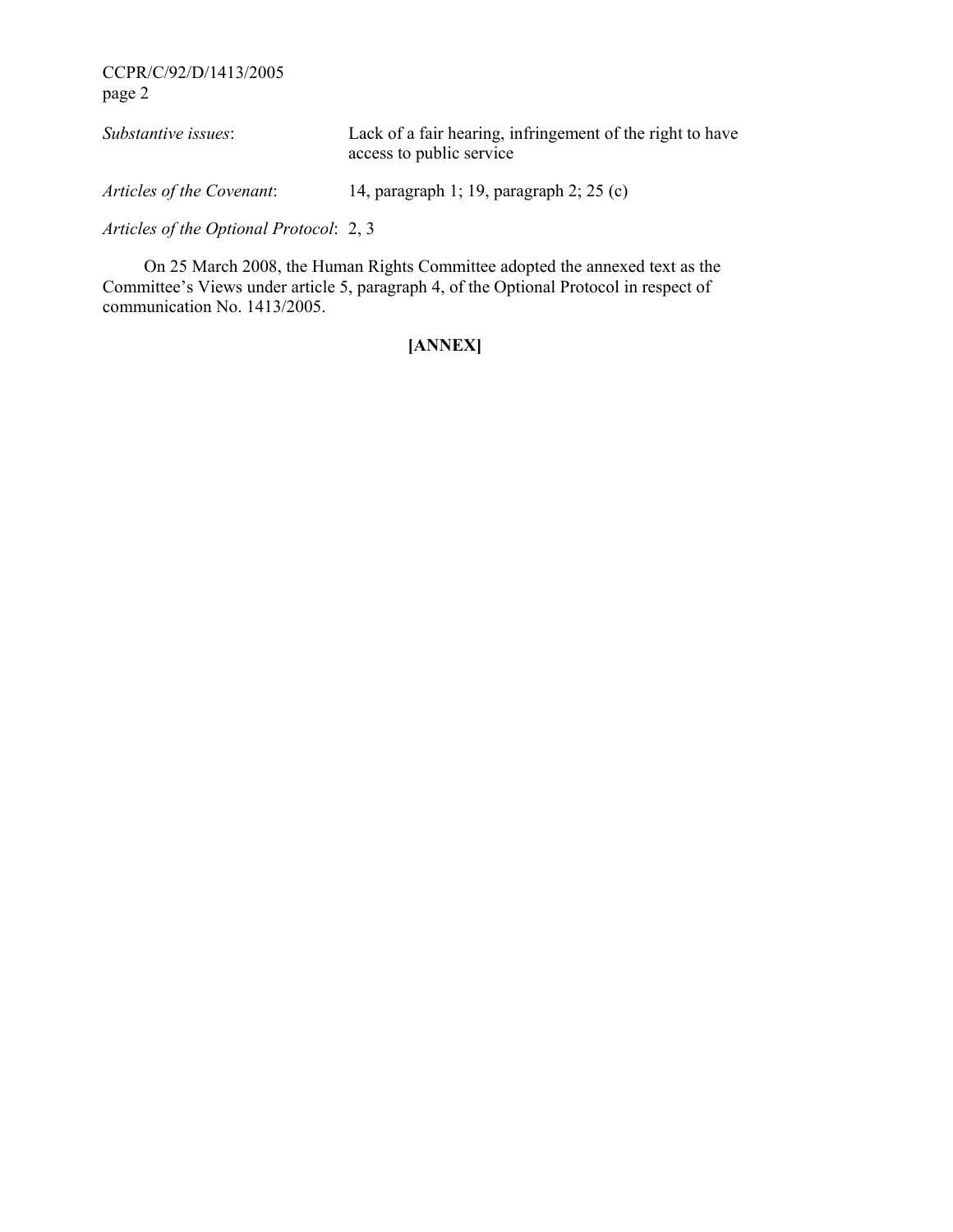| Substantive issues:                     | Lack of a fair hearing, infringement of the right to have<br>access to public service |
|-----------------------------------------|---------------------------------------------------------------------------------------|
| Articles of the Covenant:               | 14, paragraph 1; 19, paragraph 2; $25$ (c)                                            |
| Articles of the Optional Protocol: 2, 3 |                                                                                       |

 On 25 March 2008, the Human Rights Committee adopted the annexed text as the Committee's Views under article 5, paragraph 4, of the Optional Protocol in respect of communication No. 1413/2005.

## **[ANNEX]**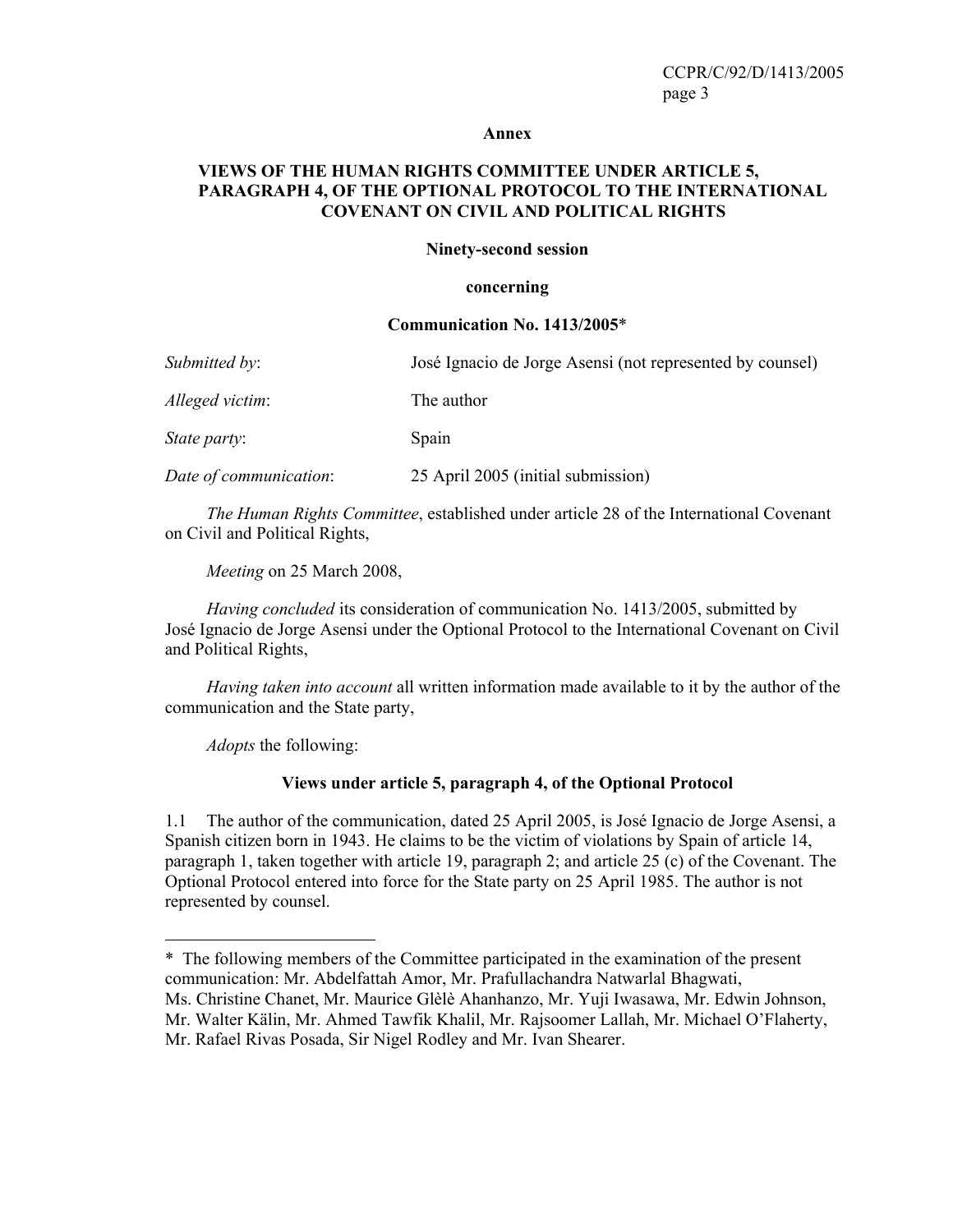#### **Annex**

#### **VIEWS OF THE HUMAN RIGHTS COMMITTEE UNDER ARTICLE 5, PARAGRAPH 4, OF THE OPTIONAL PROTOCOL TO THE INTERNATIONAL COVENANT ON CIVIL AND POLITICAL RIGHTS**

#### **Ninety-second session**

#### **concerning**

#### **Communication No. 1413/2005**\*

| Submitted by:          | José Ignacio de Jorge Asensi (not represented by counsel) |
|------------------------|-----------------------------------------------------------|
| Alleged victim:        | The author                                                |
| <i>State party:</i>    | Spain                                                     |
| Date of communication: | 25 April 2005 (initial submission)                        |

 *The Human Rights Committee*, established under article 28 of the International Covenant on Civil and Political Rights,

 *Meeting* on 25 March 2008,

 *Having concluded* its consideration of communication No. 1413/2005, submitted by José Ignacio de Jorge Asensi under the Optional Protocol to the International Covenant on Civil and Political Rights,

 *Having taken into account* all written information made available to it by the author of the communication and the State party,

 *Adopts* the following:

 $\overline{a}$ 

#### **Views under article 5, paragraph 4, of the Optional Protocol**

1.1 The author of the communication, dated 25 April 2005, is José Ignacio de Jorge Asensi, a Spanish citizen born in 1943. He claims to be the victim of violations by Spain of article 14, paragraph 1, taken together with article 19, paragraph 2; and article 25 (c) of the Covenant. The Optional Protocol entered into force for the State party on 25 April 1985. The author is not represented by counsel.

<sup>\*</sup> The following members of the Committee participated in the examination of the present communication: Mr. Abdelfattah Amor, Mr. Prafullachandra Natwarlal Bhagwati, Ms. Christine Chanet, Mr. Maurice Glèlè Ahanhanzo, Mr. Yuji Iwasawa, Mr. Edwin Johnson, Mr. Walter Kälin, Mr. Ahmed Tawfik Khalil, Mr. Rajsoomer Lallah, Mr. Michael O'Flaherty, Mr. Rafael Rivas Posada, Sir Nigel Rodley and Mr. Ivan Shearer.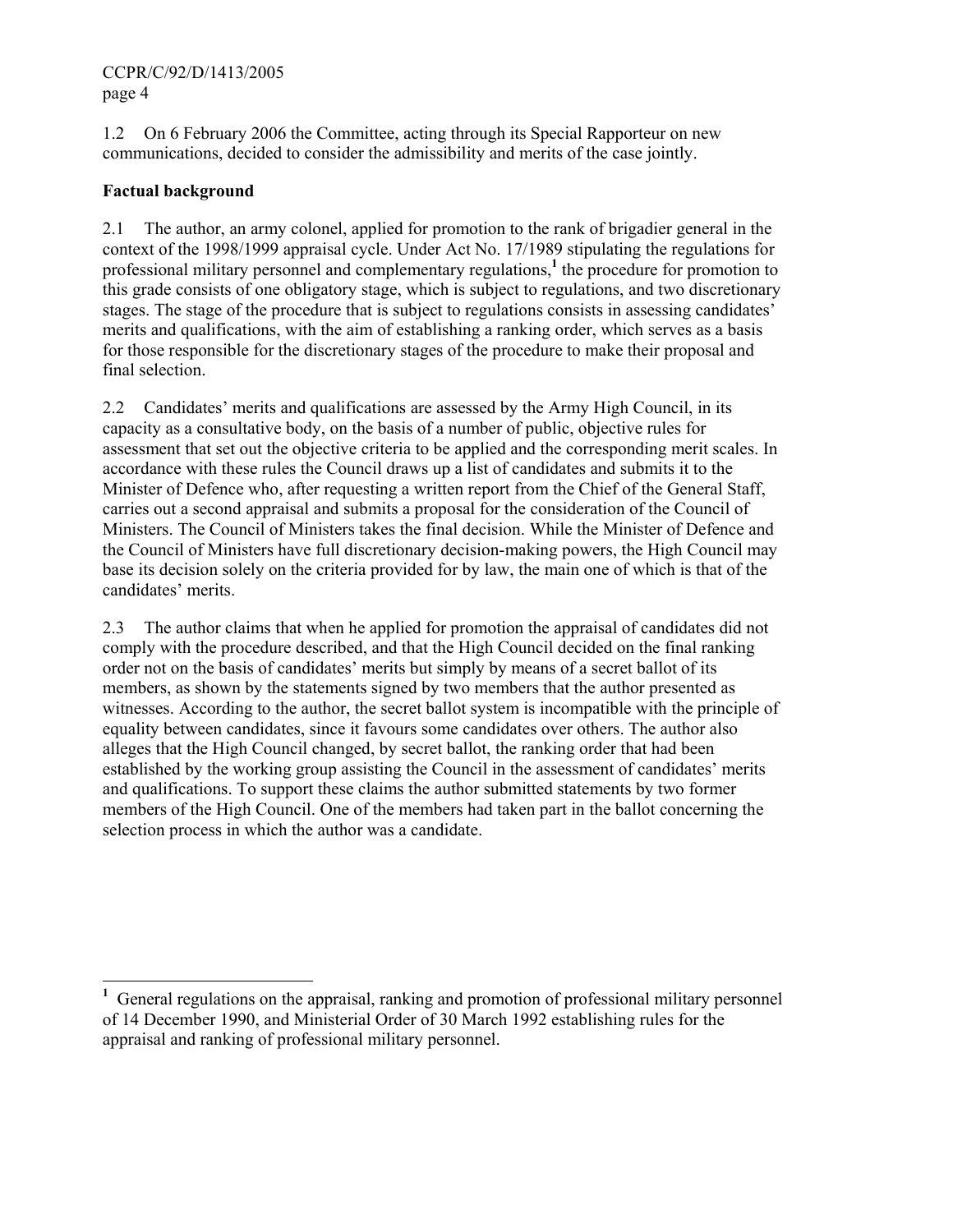1.2 On 6 February 2006 the Committee, acting through its Special Rapporteur on new communications, decided to consider the admissibility and merits of the case jointly.

### **Factual background**

2.1 The author, an army colonel, applied for promotion to the rank of brigadier general in the context of the 1998/1999 appraisal cycle. Under Act No. 17/1989 stipulating the regulations for professional military personnel and complementary regulations,<sup>1</sup> the procedure for promotion to this grade consists of one obligatory stage, which is subject to regulations, and two discretionary stages. The stage of the procedure that is subject to regulations consists in assessing candidates' merits and qualifications, with the aim of establishing a ranking order, which serves as a basis for those responsible for the discretionary stages of the procedure to make their proposal and final selection.

2.2 Candidates' merits and qualifications are assessed by the Army High Council, in its capacity as a consultative body, on the basis of a number of public, objective rules for assessment that set out the objective criteria to be applied and the corresponding merit scales. In accordance with these rules the Council draws up a list of candidates and submits it to the Minister of Defence who, after requesting a written report from the Chief of the General Staff, carries out a second appraisal and submits a proposal for the consideration of the Council of Ministers. The Council of Ministers takes the final decision. While the Minister of Defence and the Council of Ministers have full discretionary decision-making powers, the High Council may base its decision solely on the criteria provided for by law, the main one of which is that of the candidates' merits.

2.3 The author claims that when he applied for promotion the appraisal of candidates did not comply with the procedure described, and that the High Council decided on the final ranking order not on the basis of candidates' merits but simply by means of a secret ballot of its members, as shown by the statements signed by two members that the author presented as witnesses. According to the author, the secret ballot system is incompatible with the principle of equality between candidates, since it favours some candidates over others. The author also alleges that the High Council changed, by secret ballot, the ranking order that had been established by the working group assisting the Council in the assessment of candidates' merits and qualifications. To support these claims the author submitted statements by two former members of the High Council. One of the members had taken part in the ballot concerning the selection process in which the author was a candidate.

<sup>&</sup>lt;sup>1</sup> General regulations on the appraisal, ranking and promotion of professional military personnel of 14 December 1990, and Ministerial Order of 30 March 1992 establishing rules for the appraisal and ranking of professional military personnel.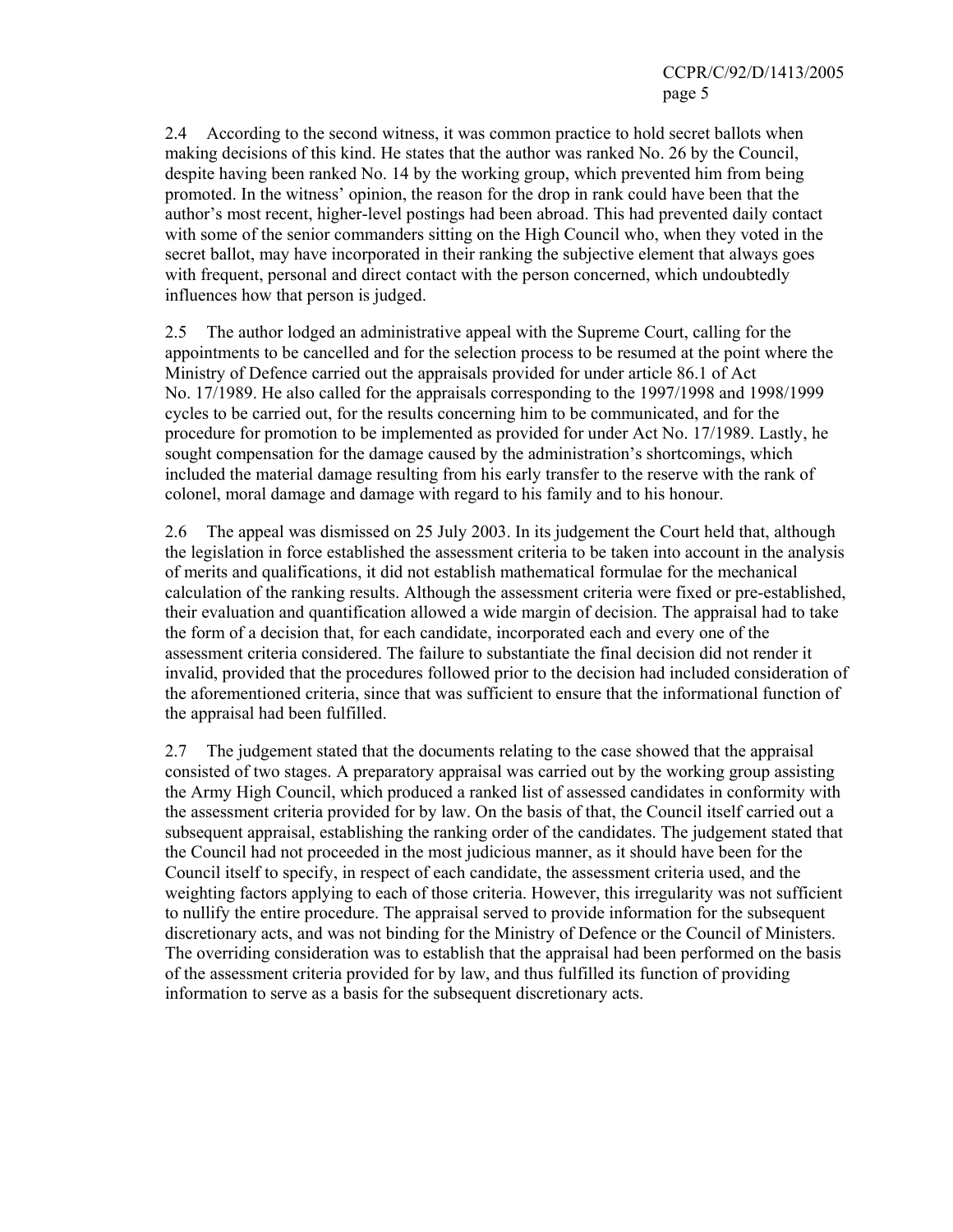2.4 According to the second witness, it was common practice to hold secret ballots when making decisions of this kind. He states that the author was ranked No. 26 by the Council, despite having been ranked No. 14 by the working group, which prevented him from being promoted. In the witness' opinion, the reason for the drop in rank could have been that the author's most recent, higher-level postings had been abroad. This had prevented daily contact with some of the senior commanders sitting on the High Council who, when they voted in the secret ballot, may have incorporated in their ranking the subjective element that always goes with frequent, personal and direct contact with the person concerned, which undoubtedly influences how that person is judged.

2.5 The author lodged an administrative appeal with the Supreme Court, calling for the appointments to be cancelled and for the selection process to be resumed at the point where the Ministry of Defence carried out the appraisals provided for under article 86.1 of Act No. 17/1989. He also called for the appraisals corresponding to the 1997/1998 and 1998/1999 cycles to be carried out, for the results concerning him to be communicated, and for the procedure for promotion to be implemented as provided for under Act No. 17/1989. Lastly, he sought compensation for the damage caused by the administration's shortcomings, which included the material damage resulting from his early transfer to the reserve with the rank of colonel, moral damage and damage with regard to his family and to his honour.

2.6 The appeal was dismissed on 25 July 2003. In its judgement the Court held that, although the legislation in force established the assessment criteria to be taken into account in the analysis of merits and qualifications, it did not establish mathematical formulae for the mechanical calculation of the ranking results. Although the assessment criteria were fixed or pre-established, their evaluation and quantification allowed a wide margin of decision. The appraisal had to take the form of a decision that, for each candidate, incorporated each and every one of the assessment criteria considered. The failure to substantiate the final decision did not render it invalid, provided that the procedures followed prior to the decision had included consideration of the aforementioned criteria, since that was sufficient to ensure that the informational function of the appraisal had been fulfilled.

2.7 The judgement stated that the documents relating to the case showed that the appraisal consisted of two stages. A preparatory appraisal was carried out by the working group assisting the Army High Council, which produced a ranked list of assessed candidates in conformity with the assessment criteria provided for by law. On the basis of that, the Council itself carried out a subsequent appraisal, establishing the ranking order of the candidates. The judgement stated that the Council had not proceeded in the most judicious manner, as it should have been for the Council itself to specify, in respect of each candidate, the assessment criteria used, and the weighting factors applying to each of those criteria. However, this irregularity was not sufficient to nullify the entire procedure. The appraisal served to provide information for the subsequent discretionary acts, and was not binding for the Ministry of Defence or the Council of Ministers. The overriding consideration was to establish that the appraisal had been performed on the basis of the assessment criteria provided for by law, and thus fulfilled its function of providing information to serve as a basis for the subsequent discretionary acts.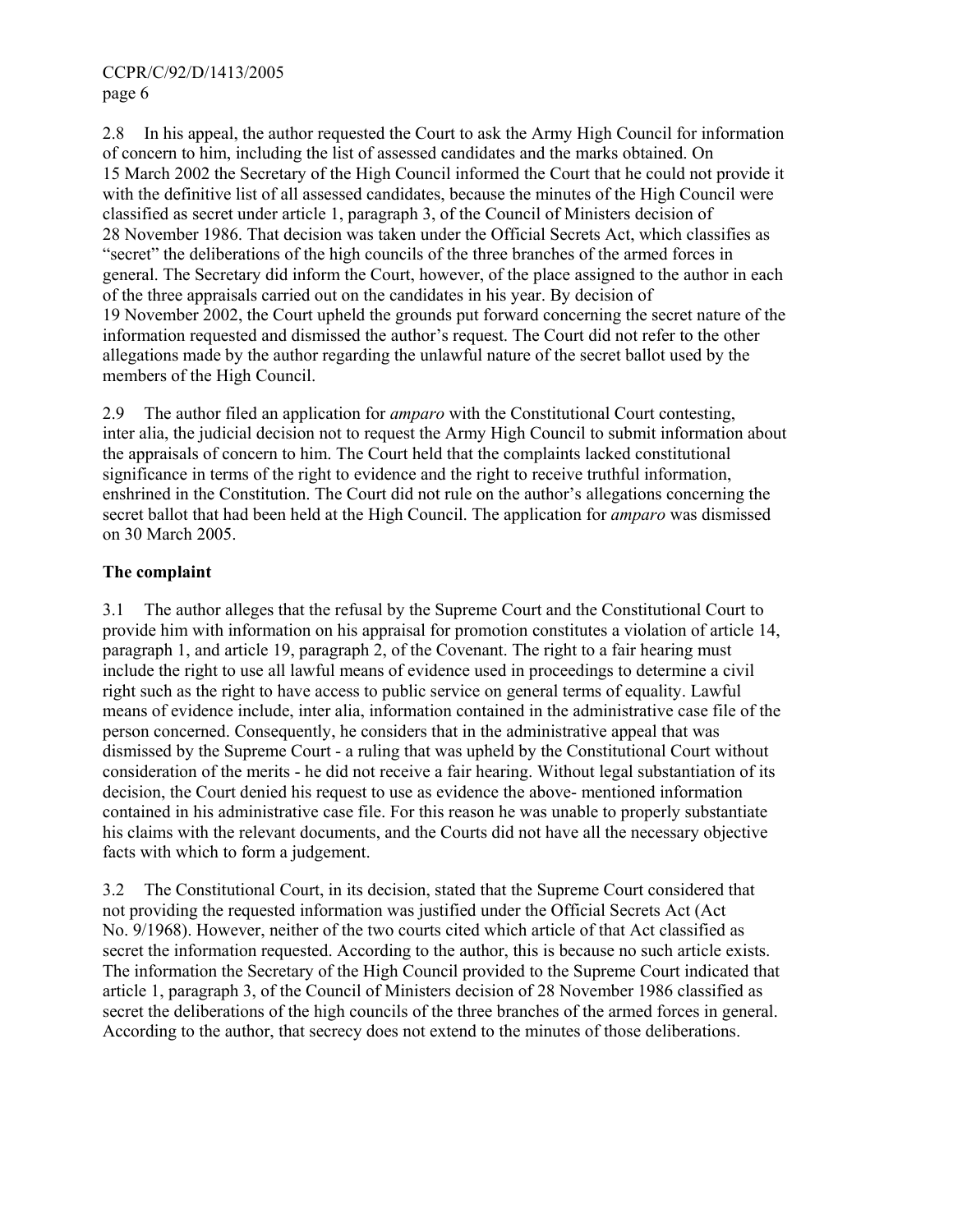2.8 In his appeal, the author requested the Court to ask the Army High Council for information of concern to him, including the list of assessed candidates and the marks obtained. On 15 March 2002 the Secretary of the High Council informed the Court that he could not provide it with the definitive list of all assessed candidates, because the minutes of the High Council were classified as secret under article 1, paragraph 3, of the Council of Ministers decision of 28 November 1986. That decision was taken under the Official Secrets Act, which classifies as "secret" the deliberations of the high councils of the three branches of the armed forces in general. The Secretary did inform the Court, however, of the place assigned to the author in each of the three appraisals carried out on the candidates in his year. By decision of 19 November 2002, the Court upheld the grounds put forward concerning the secret nature of the information requested and dismissed the author's request. The Court did not refer to the other allegations made by the author regarding the unlawful nature of the secret ballot used by the members of the High Council.

2.9 The author filed an application for *amparo* with the Constitutional Court contesting, inter alia, the judicial decision not to request the Army High Council to submit information about the appraisals of concern to him. The Court held that the complaints lacked constitutional significance in terms of the right to evidence and the right to receive truthful information, enshrined in the Constitution. The Court did not rule on the author's allegations concerning the secret ballot that had been held at the High Council. The application for *amparo* was dismissed on 30 March 2005.

#### **The complaint**

3.1 The author alleges that the refusal by the Supreme Court and the Constitutional Court to provide him with information on his appraisal for promotion constitutes a violation of article 14, paragraph 1, and article 19, paragraph 2, of the Covenant. The right to a fair hearing must include the right to use all lawful means of evidence used in proceedings to determine a civil right such as the right to have access to public service on general terms of equality. Lawful means of evidence include, inter alia, information contained in the administrative case file of the person concerned. Consequently, he considers that in the administrative appeal that was dismissed by the Supreme Court - a ruling that was upheld by the Constitutional Court without consideration of the merits - he did not receive a fair hearing. Without legal substantiation of its decision, the Court denied his request to use as evidence the above- mentioned information contained in his administrative case file. For this reason he was unable to properly substantiate his claims with the relevant documents, and the Courts did not have all the necessary objective facts with which to form a judgement.

3.2 The Constitutional Court, in its decision, stated that the Supreme Court considered that not providing the requested information was justified under the Official Secrets Act (Act No. 9/1968). However, neither of the two courts cited which article of that Act classified as secret the information requested. According to the author, this is because no such article exists. The information the Secretary of the High Council provided to the Supreme Court indicated that article 1, paragraph 3, of the Council of Ministers decision of 28 November 1986 classified as secret the deliberations of the high councils of the three branches of the armed forces in general. According to the author, that secrecy does not extend to the minutes of those deliberations.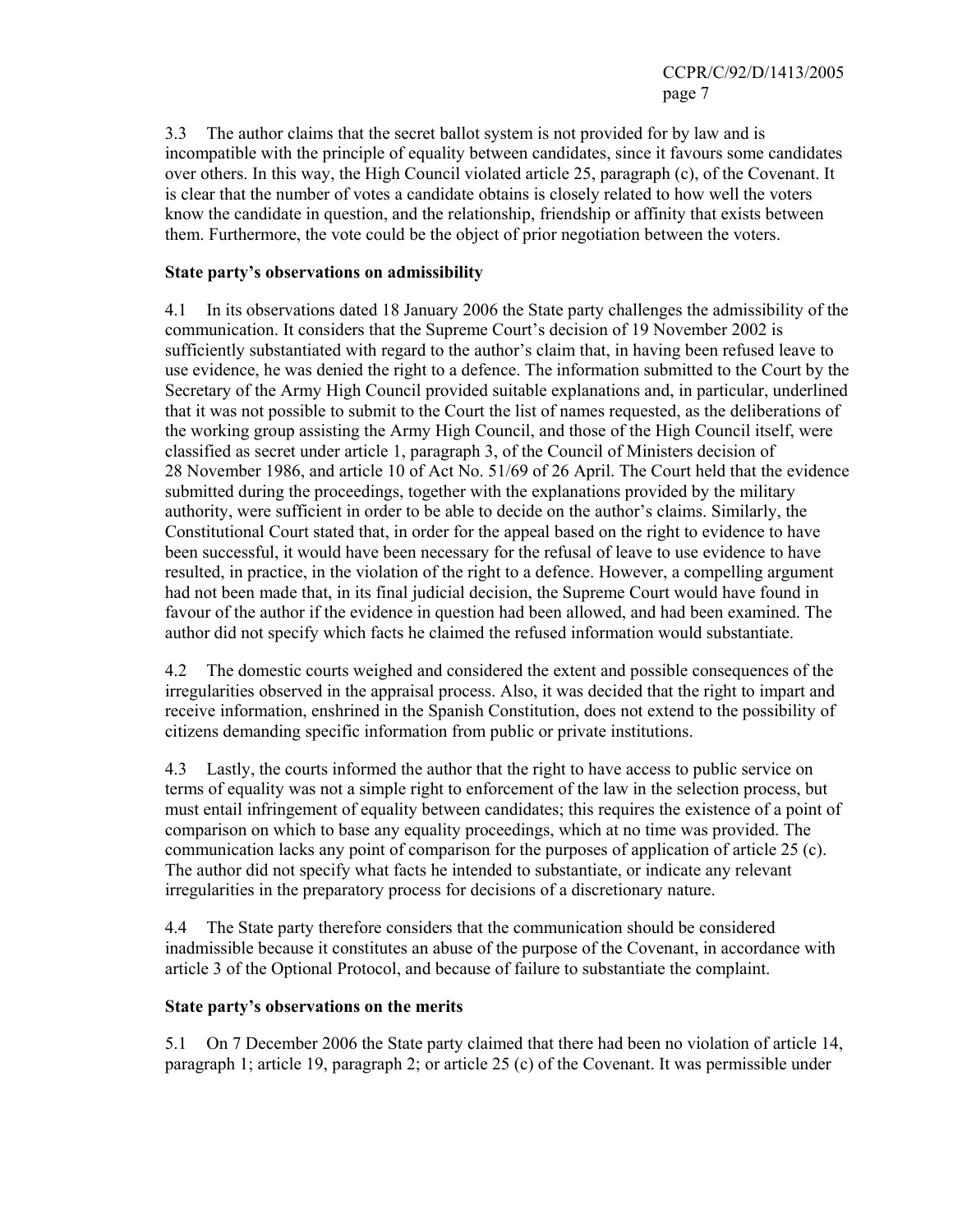3.3 The author claims that the secret ballot system is not provided for by law and is incompatible with the principle of equality between candidates, since it favours some candidates over others. In this way, the High Council violated article 25, paragraph (c), of the Covenant. It is clear that the number of votes a candidate obtains is closely related to how well the voters know the candidate in question, and the relationship, friendship or affinity that exists between them. Furthermore, the vote could be the object of prior negotiation between the voters.

#### **State party's observations on admissibility**

4.1 In its observations dated 18 January 2006 the State party challenges the admissibility of the communication. It considers that the Supreme Court's decision of 19 November 2002 is sufficiently substantiated with regard to the author's claim that, in having been refused leave to use evidence, he was denied the right to a defence. The information submitted to the Court by the Secretary of the Army High Council provided suitable explanations and, in particular, underlined that it was not possible to submit to the Court the list of names requested, as the deliberations of the working group assisting the Army High Council, and those of the High Council itself, were classified as secret under article 1, paragraph 3, of the Council of Ministers decision of 28 November 1986, and article 10 of Act No. 51/69 of 26 April. The Court held that the evidence submitted during the proceedings, together with the explanations provided by the military authority, were sufficient in order to be able to decide on the author's claims. Similarly, the Constitutional Court stated that, in order for the appeal based on the right to evidence to have been successful, it would have been necessary for the refusal of leave to use evidence to have resulted, in practice, in the violation of the right to a defence. However, a compelling argument had not been made that, in its final judicial decision, the Supreme Court would have found in favour of the author if the evidence in question had been allowed, and had been examined. The author did not specify which facts he claimed the refused information would substantiate.

4.2 The domestic courts weighed and considered the extent and possible consequences of the irregularities observed in the appraisal process. Also, it was decided that the right to impart and receive information, enshrined in the Spanish Constitution, does not extend to the possibility of citizens demanding specific information from public or private institutions.

4.3 Lastly, the courts informed the author that the right to have access to public service on terms of equality was not a simple right to enforcement of the law in the selection process, but must entail infringement of equality between candidates; this requires the existence of a point of comparison on which to base any equality proceedings, which at no time was provided. The communication lacks any point of comparison for the purposes of application of article 25 (c). The author did not specify what facts he intended to substantiate, or indicate any relevant irregularities in the preparatory process for decisions of a discretionary nature.

4.4 The State party therefore considers that the communication should be considered inadmissible because it constitutes an abuse of the purpose of the Covenant, in accordance with article 3 of the Optional Protocol, and because of failure to substantiate the complaint.

#### **State party's observations on the merits**

5.1 On 7 December 2006 the State party claimed that there had been no violation of article 14, paragraph 1; article 19, paragraph 2; or article 25 (c) of the Covenant. It was permissible under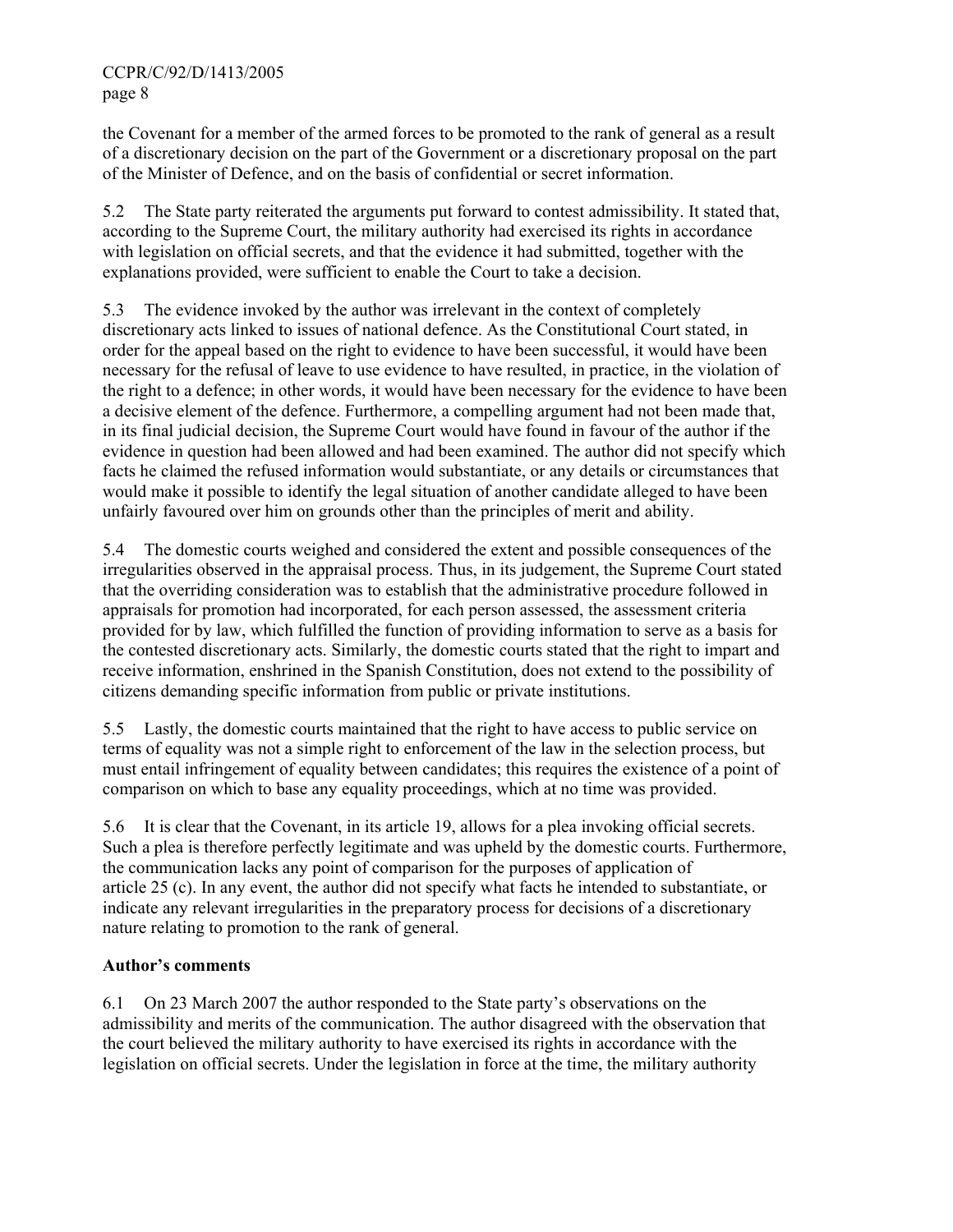the Covenant for a member of the armed forces to be promoted to the rank of general as a result of a discretionary decision on the part of the Government or a discretionary proposal on the part of the Minister of Defence, and on the basis of confidential or secret information.

5.2 The State party reiterated the arguments put forward to contest admissibility. It stated that, according to the Supreme Court, the military authority had exercised its rights in accordance with legislation on official secrets, and that the evidence it had submitted, together with the explanations provided, were sufficient to enable the Court to take a decision.

5.3 The evidence invoked by the author was irrelevant in the context of completely discretionary acts linked to issues of national defence. As the Constitutional Court stated, in order for the appeal based on the right to evidence to have been successful, it would have been necessary for the refusal of leave to use evidence to have resulted, in practice, in the violation of the right to a defence; in other words, it would have been necessary for the evidence to have been a decisive element of the defence. Furthermore, a compelling argument had not been made that, in its final judicial decision, the Supreme Court would have found in favour of the author if the evidence in question had been allowed and had been examined. The author did not specify which facts he claimed the refused information would substantiate, or any details or circumstances that would make it possible to identify the legal situation of another candidate alleged to have been unfairly favoured over him on grounds other than the principles of merit and ability.

5.4 The domestic courts weighed and considered the extent and possible consequences of the irregularities observed in the appraisal process. Thus, in its judgement, the Supreme Court stated that the overriding consideration was to establish that the administrative procedure followed in appraisals for promotion had incorporated, for each person assessed, the assessment criteria provided for by law, which fulfilled the function of providing information to serve as a basis for the contested discretionary acts. Similarly, the domestic courts stated that the right to impart and receive information, enshrined in the Spanish Constitution, does not extend to the possibility of citizens demanding specific information from public or private institutions.

5.5 Lastly, the domestic courts maintained that the right to have access to public service on terms of equality was not a simple right to enforcement of the law in the selection process, but must entail infringement of equality between candidates; this requires the existence of a point of comparison on which to base any equality proceedings, which at no time was provided.

5.6 It is clear that the Covenant, in its article 19, allows for a plea invoking official secrets. Such a plea is therefore perfectly legitimate and was upheld by the domestic courts. Furthermore, the communication lacks any point of comparison for the purposes of application of article 25 (c). In any event, the author did not specify what facts he intended to substantiate, or indicate any relevant irregularities in the preparatory process for decisions of a discretionary nature relating to promotion to the rank of general.

### **Author's comments**

6.1 On 23 March 2007 the author responded to the State party's observations on the admissibility and merits of the communication. The author disagreed with the observation that the court believed the military authority to have exercised its rights in accordance with the legislation on official secrets. Under the legislation in force at the time, the military authority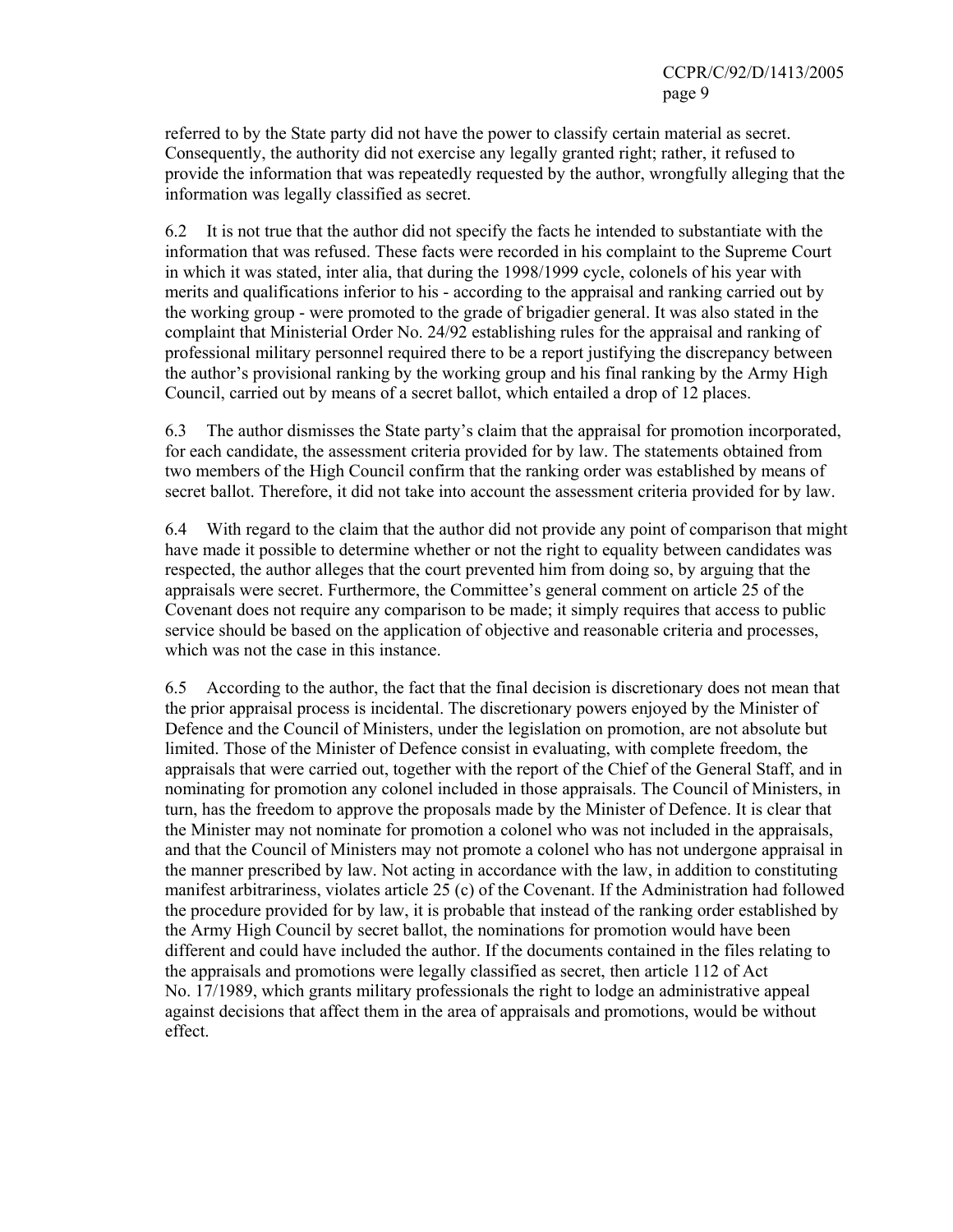referred to by the State party did not have the power to classify certain material as secret. Consequently, the authority did not exercise any legally granted right; rather, it refused to provide the information that was repeatedly requested by the author, wrongfully alleging that the information was legally classified as secret.

6.2 It is not true that the author did not specify the facts he intended to substantiate with the information that was refused. These facts were recorded in his complaint to the Supreme Court in which it was stated, inter alia, that during the 1998/1999 cycle, colonels of his year with merits and qualifications inferior to his - according to the appraisal and ranking carried out by the working group - were promoted to the grade of brigadier general. It was also stated in the complaint that Ministerial Order No. 24/92 establishing rules for the appraisal and ranking of professional military personnel required there to be a report justifying the discrepancy between the author's provisional ranking by the working group and his final ranking by the Army High Council, carried out by means of a secret ballot, which entailed a drop of 12 places.

6.3 The author dismisses the State party's claim that the appraisal for promotion incorporated, for each candidate, the assessment criteria provided for by law. The statements obtained from two members of the High Council confirm that the ranking order was established by means of secret ballot. Therefore, it did not take into account the assessment criteria provided for by law.

6.4 With regard to the claim that the author did not provide any point of comparison that might have made it possible to determine whether or not the right to equality between candidates was respected, the author alleges that the court prevented him from doing so, by arguing that the appraisals were secret. Furthermore, the Committee's general comment on article 25 of the Covenant does not require any comparison to be made; it simply requires that access to public service should be based on the application of objective and reasonable criteria and processes, which was not the case in this instance.

6.5 According to the author, the fact that the final decision is discretionary does not mean that the prior appraisal process is incidental. The discretionary powers enjoyed by the Minister of Defence and the Council of Ministers, under the legislation on promotion, are not absolute but limited. Those of the Minister of Defence consist in evaluating, with complete freedom, the appraisals that were carried out, together with the report of the Chief of the General Staff, and in nominating for promotion any colonel included in those appraisals. The Council of Ministers, in turn, has the freedom to approve the proposals made by the Minister of Defence. It is clear that the Minister may not nominate for promotion a colonel who was not included in the appraisals, and that the Council of Ministers may not promote a colonel who has not undergone appraisal in the manner prescribed by law. Not acting in accordance with the law, in addition to constituting manifest arbitrariness, violates article 25 (c) of the Covenant. If the Administration had followed the procedure provided for by law, it is probable that instead of the ranking order established by the Army High Council by secret ballot, the nominations for promotion would have been different and could have included the author. If the documents contained in the files relating to the appraisals and promotions were legally classified as secret, then article 112 of Act No. 17/1989, which grants military professionals the right to lodge an administrative appeal against decisions that affect them in the area of appraisals and promotions, would be without effect.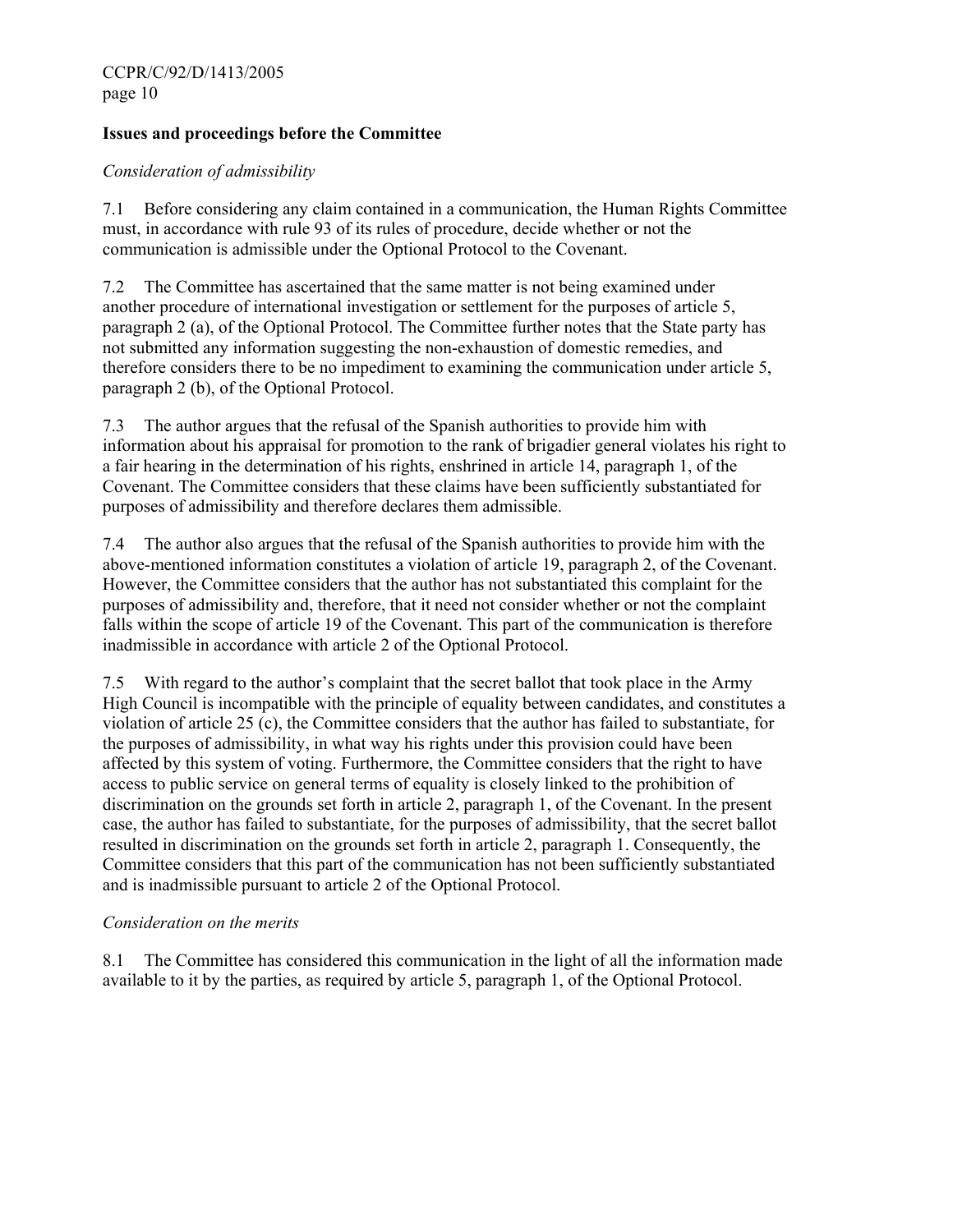### **Issues and proceedings before the Committee**

### *Consideration of admissibility*

7.1 Before considering any claim contained in a communication, the Human Rights Committee must, in accordance with rule 93 of its rules of procedure, decide whether or not the communication is admissible under the Optional Protocol to the Covenant.

7.2 The Committee has ascertained that the same matter is not being examined under another procedure of international investigation or settlement for the purposes of article 5, paragraph 2 (a), of the Optional Protocol. The Committee further notes that the State party has not submitted any information suggesting the non-exhaustion of domestic remedies, and therefore considers there to be no impediment to examining the communication under article 5, paragraph 2 (b), of the Optional Protocol.

7.3 The author argues that the refusal of the Spanish authorities to provide him with information about his appraisal for promotion to the rank of brigadier general violates his right to a fair hearing in the determination of his rights, enshrined in article 14, paragraph 1, of the Covenant. The Committee considers that these claims have been sufficiently substantiated for purposes of admissibility and therefore declares them admissible.

7.4 The author also argues that the refusal of the Spanish authorities to provide him with the above-mentioned information constitutes a violation of article 19, paragraph 2, of the Covenant. However, the Committee considers that the author has not substantiated this complaint for the purposes of admissibility and, therefore, that it need not consider whether or not the complaint falls within the scope of article 19 of the Covenant. This part of the communication is therefore inadmissible in accordance with article 2 of the Optional Protocol.

7.5 With regard to the author's complaint that the secret ballot that took place in the Army High Council is incompatible with the principle of equality between candidates, and constitutes a violation of article 25 (c), the Committee considers that the author has failed to substantiate, for the purposes of admissibility, in what way his rights under this provision could have been affected by this system of voting. Furthermore, the Committee considers that the right to have access to public service on general terms of equality is closely linked to the prohibition of discrimination on the grounds set forth in article 2, paragraph 1, of the Covenant. In the present case, the author has failed to substantiate, for the purposes of admissibility, that the secret ballot resulted in discrimination on the grounds set forth in article 2, paragraph 1. Consequently, the Committee considers that this part of the communication has not been sufficiently substantiated and is inadmissible pursuant to article 2 of the Optional Protocol.

#### *Consideration on the merits*

8.1 The Committee has considered this communication in the light of all the information made available to it by the parties, as required by article 5, paragraph 1, of the Optional Protocol.